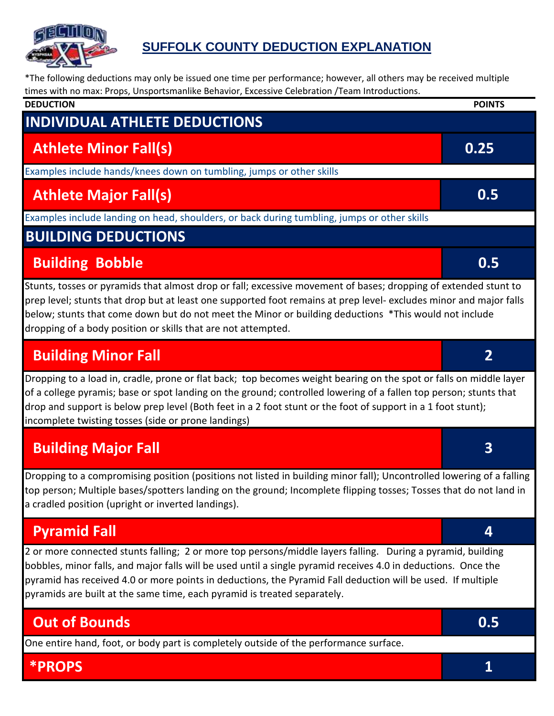

#### **SUFFOLK COUNTY DEDUCTION EXPLANATION**

\*The following deductions may only be issued one time per performance; however, all others may be received multiple times with no max: Props, Unsportsmanlike Behavior, Excessive Celebration /Team Introductions.

| <b>DEDUCTION</b>                                                                                                                                                                                                                                                                                                                                                                                                         | <b>POINTS</b>  |
|--------------------------------------------------------------------------------------------------------------------------------------------------------------------------------------------------------------------------------------------------------------------------------------------------------------------------------------------------------------------------------------------------------------------------|----------------|
| <b>INDIVIDUAL ATHLETE DEDUCTIONS</b>                                                                                                                                                                                                                                                                                                                                                                                     |                |
| <b>Athlete Minor Fall(s)</b>                                                                                                                                                                                                                                                                                                                                                                                             | 0.25           |
| Examples include hands/knees down on tumbling, jumps or other skills                                                                                                                                                                                                                                                                                                                                                     |                |
| <b>Athlete Major Fall(s)</b>                                                                                                                                                                                                                                                                                                                                                                                             | 0.5            |
| Examples include landing on head, shoulders, or back during tumbling, jumps or other skills                                                                                                                                                                                                                                                                                                                              |                |
| <b>BUILDING DEDUCTIONS</b>                                                                                                                                                                                                                                                                                                                                                                                               |                |
| <b>Building Bobble</b>                                                                                                                                                                                                                                                                                                                                                                                                   | 0.5            |
| Stunts, tosses or pyramids that almost drop or fall; excessive movement of bases; dropping of extended stunt to<br>prep level; stunts that drop but at least one supported foot remains at prep level- excludes minor and major falls<br>below; stunts that come down but do not meet the Minor or building deductions *This would not include<br>dropping of a body position or skills that are not attempted.          |                |
| <b>Building Minor Fall</b>                                                                                                                                                                                                                                                                                                                                                                                               | $\overline{2}$ |
| Dropping to a load in, cradle, prone or flat back; top becomes weight bearing on the spot or falls on middle layer<br>of a college pyramis; base or spot landing on the ground; controlled lowering of a fallen top person; stunts that<br>drop and support is below prep level (Both feet in a 2 foot stunt or the foot of support in a 1 foot stunt);<br>incomplete twisting tosses (side or prone landings)           |                |
| <b>Building Major Fall</b>                                                                                                                                                                                                                                                                                                                                                                                               | 3              |
| Dropping to a compromising position (positions not listed in building minor fall); Uncontrolled lowering of a falling<br>top person; Multiple bases/spotters landing on the ground; Incomplete flipping tosses; Tosses that do not land in<br>a cradled position (upright or inverted landings).                                                                                                                         |                |
| <b>Pyramid Fall</b>                                                                                                                                                                                                                                                                                                                                                                                                      | 4              |
| 2 or more connected stunts falling; 2 or more top persons/middle layers falling. During a pyramid, building<br>bobbles, minor falls, and major falls will be used until a single pyramid receives 4.0 in deductions. Once the<br>pyramid has received 4.0 or more points in deductions, the Pyramid Fall deduction will be used. If multiple<br>pyramids are built at the same time, each pyramid is treated separately. |                |
| <b>Out of Bounds</b>                                                                                                                                                                                                                                                                                                                                                                                                     | 0.5            |
| One entire hand, foot, or body part is completely outside of the performance surface.                                                                                                                                                                                                                                                                                                                                    |                |
| <b>*PROPS</b>                                                                                                                                                                                                                                                                                                                                                                                                            | 1              |